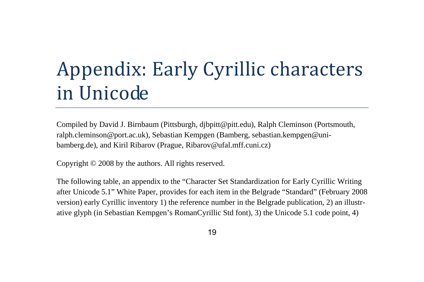# Appendix: Early Cyrillic characters in Unicode

Compiled by David J. Birnbaum (Pittsburgh, djbpitt@pitt.edu), Ralph Cleminson (Portsmouth, ralph.cleminson@port.ac.uk), Sebastian Kempgen (Bamberg, sebastian.kempgen@unibamberg.de), and Kiril Ribarov (Prague, Ribarov@ufal.mff.cuni.cz)

Copyright © 2008 by the authors. All rights reserved.

The following table, an appendix to the "Character Set Standardization for Early Cyrillic Writing after Unicode 5.1" White Paper, provides for each item in the Belgrade "Standard" (February 2008 version) early Cyrillic inventory 1) the reference number in the Belgrade publication, 2) an illustrative glyph (in Sebastian Kempgen's RomanCyrillic Std font), 3) the Unicode 5.1 code point, 4)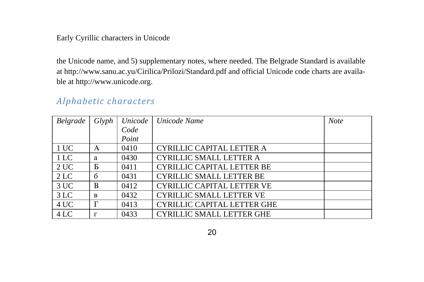the Unicode name, and 5) supplementary notes, where needed. The Belgrade Standard is available at http://www.sanu.ac.yu/Cirilica/Prilozi/Standard.pdf and official Unicode code charts are available at http://www.unicode.org.

#### Alphabetic characters

| Belgrade | Glyph        | Unicode | Unicode Name                       | <b>Note</b> |
|----------|--------------|---------|------------------------------------|-------------|
|          |              | Code    |                                    |             |
|          |              | Point   |                                    |             |
| 1 UC     | A            | 0410    | CYRILLIC CAPITAL LETTER A          |             |
| 1 LC     | a            | 0430    | <b>CYRILLIC SMALL LETTER A</b>     |             |
| 2UC      | Б            | 0411    | <b>CYRILLIC CAPITAL LETTER BE</b>  |             |
| 2 LC     | $\sigma$     | 0431    | <b>CYRILLIC SMALL LETTER BE</b>    |             |
| 3UC      | B            | 0412    | <b>CYRILLIC CAPITAL LETTER VE</b>  |             |
| 3 LC     | <sub>R</sub> | 0432    | <b>CYRILLIC SMALL LETTER VE</b>    |             |
| 4 UC     | $\Gamma$     | 0413    | <b>CYRILLIC CAPITAL LETTER GHE</b> |             |
| 4 LC     | г            | 0433    | <b>CYRILLIC SMALL LETTER GHE</b>   |             |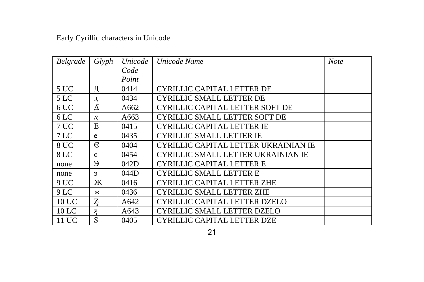| <b>Belgrade</b> | Glyph          | Unicode | Unicode Name                         | <b>Note</b> |
|-----------------|----------------|---------|--------------------------------------|-------------|
|                 |                | Code    |                                      |             |
|                 |                | Point   |                                      |             |
| 5 UC            | Д              | 0414    | CYRILLIC CAPITAL LETTER DE           |             |
| 5 <sub>LC</sub> | Д              | 0434    | <b>CYRILLIC SMALL LETTER DE</b>      |             |
| 6 UC            | Д              | A662    | CYRILLIC CAPITAL LETTER SOFT DE      |             |
| 6 <sub>LC</sub> | д              | A663    | <b>CYRILLIC SMALL LETTER SOFT DE</b> |             |
| 7 UC            | E              | 0415    | <b>CYRILLIC CAPITAL LETTER IE</b>    |             |
| 7 <sub>LC</sub> | e              | 0435    | <b>CYRILLIC SMALL LETTER IE</b>      |             |
| 8 UC            | €              | 0404    | CYRILLIC CAPITAL LETTER UKRAINIAN IE |             |
| 8 LC            | $\epsilon$     | 0454    | CYRILLIC SMALL LETTER UKRAINIAN IE   |             |
| none            | Э              | 042D    | <b>CYRILLIC CAPITAL LETTER E</b>     |             |
| none            | Э              | 044D    | <b>CYRILLIC SMALL LETTER E</b>       |             |
| 9UC             | Ж              | 0416    | <b>CYRILLIC CAPITAL LETTER ZHE</b>   |             |
| 9 <sub>LC</sub> | Ж              | 0436    | <b>CYRILLIC SMALL LETTER ZHE</b>     |             |
| 10 UC           | $\overline{z}$ | A642    | CYRILLIC CAPITAL LETTER DZELO        |             |
| $10$ LC         | z              | A643    | CYRILLIC SMALL LETTER DZELO          |             |
| 11 UC           | S              | 0405    | CYRILLIC CAPITAL LETTER DZE          |             |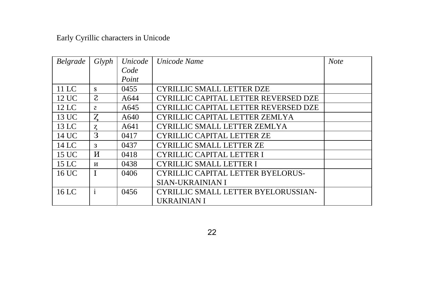| Belgrade | Glyph          | Unicode | Unicode Name                               | <b>Note</b> |
|----------|----------------|---------|--------------------------------------------|-------------|
|          |                | Code    |                                            |             |
|          |                | Point   |                                            |             |
| $11$ LC  | s              | 0455    | <b>CYRILLIC SMALL LETTER DZE</b>           |             |
| 12 UC    | <sub>2</sub>   | A644    | CYRILLIC CAPITAL LETTER REVERSED DZE       |             |
| $12$ LC  | $\overline{c}$ | A645    | CYRILLIC CAPITAL LETTER REVERSED DZE       |             |
| 13 UC    | Z              | A640    | CYRILLIC CAPITAL LETTER ZEMLYA             |             |
| 13 LC    | Z              | A641    | <b>CYRILLIC SMALL LETTER ZEMLYA</b>        |             |
| 14 UC    | З              | 0417    | <b>CYRILLIC CAPITAL LETTER ZE</b>          |             |
| $14$ LC  | 3              | 0437    | <b>CYRILLIC SMALL LETTER ZE</b>            |             |
| 15 UC    | И              | 0418    | CYRILLIC CAPITAL LETTER I                  |             |
| 15 LC    | И              | 0438    | <b>CYRILLIC SMALL LETTER I</b>             |             |
| 16 UC    |                | 0406    | <b>CYRILLIC CAPITAL LETTER BYELORUS-</b>   |             |
|          |                |         | <b>SIAN-UKRAINIAN I</b>                    |             |
| $16$ LC  | $\mathbf{i}$   | 0456    | <b>CYRILLIC SMALL LETTER BYELORUSSIAN-</b> |             |
|          |                |         | UKRAINIAN I                                |             |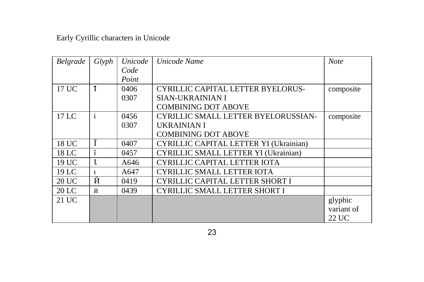| Belgrade | Glyph            | Unicode | Unicode Name                               | <b>Note</b> |
|----------|------------------|---------|--------------------------------------------|-------------|
|          |                  | Code    |                                            |             |
|          |                  | Point   |                                            |             |
| 17 UC    | $\mathbf{I}$     | 0406    | CYRILLIC CAPITAL LETTER BYELORUS-          | composite   |
|          |                  | 0307    | SIAN-UKRAINIAN I                           |             |
|          |                  |         | <b>COMBINING DOT ABOVE</b>                 |             |
| $17$ LC  | $\mathbf{i}$     | 0456    | <b>CYRILLIC SMALL LETTER BYELORUSSIAN-</b> | composite   |
|          |                  | 0307    | UKRAINIAN I                                |             |
|          |                  |         | <b>COMBINING DOT ABOVE</b>                 |             |
| 18 UC    |                  | 0407    | CYRILLIC CAPITAL LETTER YI (Ukrainian)     |             |
| 18 LC    | <br>$\mathbf{1}$ | 0457    | CYRILLIC SMALL LETTER YI (Ukrainian)       |             |
| 19 UC    | $\mathbf{I}$     | A646    | CYRILLIC CAPITAL LETTER IOTA               |             |
| 19 LC    |                  | A647    | <b>CYRILLIC SMALL LETTER IOTA</b>          |             |
| 20 UC    | Й                | 0419    | CYRILLIC CAPITAL LETTER SHORT I            |             |
| 20 LC    | й                | 0439    | <b>CYRILLIC SMALL LETTER SHORT I</b>       |             |
| 21 UC    |                  |         |                                            | glyphic     |
|          |                  |         |                                            | variant of  |
|          |                  |         |                                            | 22 UC       |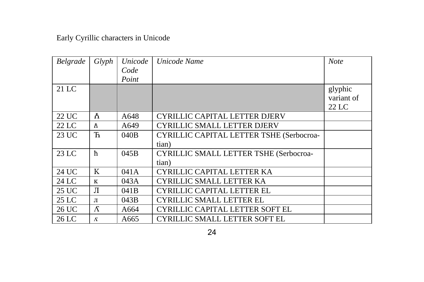| Belgrade | Glyph        | Unicode | Unicode Name                                    | <b>Note</b> |
|----------|--------------|---------|-------------------------------------------------|-------------|
|          |              | Code    |                                                 |             |
|          |              | Point   |                                                 |             |
| $21$ LC  |              |         |                                                 | glyphic     |
|          |              |         |                                                 | variant of  |
|          |              |         |                                                 | 22 LC       |
| 22 UC    | Ă.           | A648    | CYRILLIC CAPITAL LETTER DJERV                   |             |
| $22$ LC  | ħ            | A649    | <b>CYRILLIC SMALL LETTER DJERV</b>              |             |
| 23 UC    | $\mathbf{F}$ | 040B    | <b>CYRILLIC CAPITAL LETTER TSHE (Serbocroa-</b> |             |
|          |              |         | tian)                                           |             |
| 23 LC    | ħ            | 045B    | <b>CYRILLIC SMALL LETTER TSHE (Serbocroa-</b>   |             |
|          |              |         | tian)                                           |             |
| 24 UC    | K            | 041A    | CYRILLIC CAPITAL LETTER KA                      |             |
| 24 LC    | K            | 043A    | <b>CYRILLIC SMALL LETTER KA</b>                 |             |
| 25 UC    | Л            | 041B    | <b>CYRILLIC CAPITAL LETTER EL</b>               |             |
| $25$ LC  | Л            | 043B    | <b>CYRILLIC SMALL LETTER EL</b>                 |             |
| 26 UC    | $\Lambda$    | A664    | CYRILLIC CAPITAL LETTER SOFT EL                 |             |
| 26 LC    | $\Lambda$    | A665    | <b>CYRILLIC SMALL LETTER SOFT EL</b>            |             |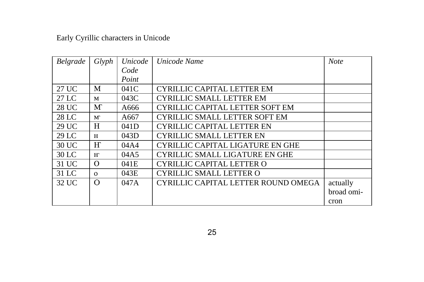| Belgrade     | Glyph        | Unicode          | Unicode Name                           | <b>Note</b> |
|--------------|--------------|------------------|----------------------------------------|-------------|
|              |              | Code             |                                        |             |
|              |              | Point            |                                        |             |
| 27 UC        | M            | 041C             | <b>CYRILLIC CAPITAL LETTER EM</b>      |             |
| 27 LC        | M            | 043C             | <b>CYRILLIC SMALL LETTER EM</b>        |             |
| <b>28 UC</b> | M            | A666             | <b>CYRILLIC CAPITAL LETTER SOFT EM</b> |             |
| 28 LC        | $\mathbf{M}$ | A667             | <b>CYRILLIC SMALL LETTER SOFT EM</b>   |             |
| 29 UC        | H            | 041 <sub>D</sub> | <b>CYRILLIC CAPITAL LETTER EN</b>      |             |
| 29 LC        | H            | 043D             | <b>CYRILLIC SMALL LETTER EN</b>        |             |
| 30 UC        | H            | 04A4             | CYRILLIC CAPITAL LIGATURE EN GHE       |             |
| 30 LC        | $H^{\circ}$  | 04A5             | <b>CYRILLIC SMALL LIGATURE EN GHE</b>  |             |
| 31 UC        | $\Omega$     | 041E             | CYRILLIC CAPITAL LETTER O              |             |
| 31 LC        | $\Omega$     | 043E             | <b>CYRILLIC SMALL LETTER O</b>         |             |
| 32 UC        | $\Omega$     | 047A             | CYRILLIC CAPITAL LETTER ROUND OMEGA    | actually    |
|              |              |                  |                                        | broad omi-  |
|              |              |                  |                                        | cron        |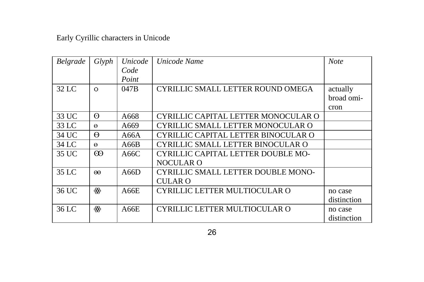| Belgrade | Glyph    | Unicode | Unicode Name                              | <b>Note</b> |
|----------|----------|---------|-------------------------------------------|-------------|
|          |          | Code    |                                           |             |
|          |          | Point   |                                           |             |
| 32 LC    | $\Omega$ | 047B    | CYRILLIC SMALL LETTER ROUND OMEGA         | actually    |
|          |          |         |                                           | broad omi-  |
|          |          |         |                                           | cron        |
| 33 UC    | $\Theta$ | A668    | CYRILLIC CAPITAL LETTER MONOCULAR O       |             |
| 33 LC    | $\Theta$ | A669    | CYRILLIC SMALL LETTER MONOCULAR O         |             |
| 34 UC    | 0        | A66A    | CYRILLIC CAPITAL LETTER BINOCULAR O       |             |
| 34 LC    | $\Theta$ | A66B    | CYRILLIC SMALL LETTER BINOCULAR O         |             |
| 35 UC    | $\omega$ | A66C    | CYRILLIC CAPITAL LETTER DOUBLE MO-        |             |
|          |          |         | <b>NOCULAR O</b>                          |             |
| 35 LC    | $\omega$ | A66D    | <b>CYRILLIC SMALL LETTER DOUBLE MONO-</b> |             |
|          |          |         | CULAR O                                   |             |
| 36 UC    | ≪        | A66E    | CYRILLIC LETTER MULTIOCULAR O             | no case     |
|          |          |         |                                           | distinction |
| 36 LC    | ≪        | A66E    | CYRILLIC LETTER MULTIOCULAR O             | no case     |
|          |          |         |                                           | distinction |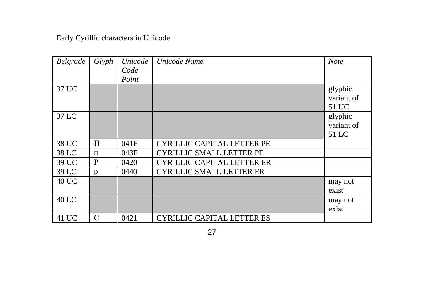| Belgrade | Glyph | Unicode<br>Code<br>Point | Unicode Name                      | <b>Note</b>                    |
|----------|-------|--------------------------|-----------------------------------|--------------------------------|
| 37 UC    |       |                          |                                   | glyphic<br>variant of<br>51 UC |
| 37 LC    |       |                          |                                   | glyphic<br>variant of<br>51 LC |
| 38 UC    | Π     | 041F                     | <b>CYRILLIC CAPITAL LETTER PE</b> |                                |
| 38 LC    | $\Pi$ | 043F                     | <b>CYRILLIC SMALL LETTER PE</b>   |                                |
| 39 UC    | P     | 0420                     | <b>CYRILLIC CAPITAL LETTER ER</b> |                                |
| 39 LC    | p     | 0440                     | <b>CYRILLIC SMALL LETTER ER</b>   |                                |
| 40 UC    |       |                          |                                   | may not<br>exist               |
| 40 LC    |       |                          |                                   | may not<br>exist               |
| 41 UC    | C     | 0421                     | <b>CYRILLIC CAPITAL LETTER ES</b> |                                |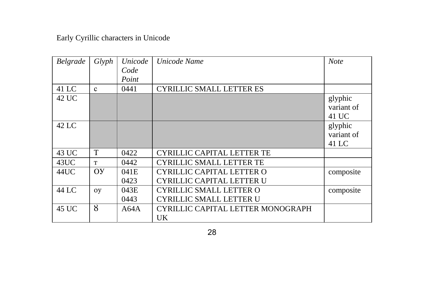| Belgrade | Glyph | Unicode | Unicode Name                      | <b>Note</b> |
|----------|-------|---------|-----------------------------------|-------------|
|          |       | Code    |                                   |             |
|          |       | Point   |                                   |             |
| 41 LC    | c     | 0441    | <b>CYRILLIC SMALL LETTER ES</b>   |             |
| 42 UC    |       |         |                                   | glyphic     |
|          |       |         |                                   | variant of  |
|          |       |         |                                   | 41 UC       |
| 42 LC    |       |         |                                   | glyphic     |
|          |       |         |                                   | variant of  |
|          |       |         |                                   | 41 LC       |
| 43 UC    | T     | 0422    | CYRILLIC CAPITAL LETTER TE        |             |
| 43UC     | T     | 0442    | <b>CYRILLIC SMALL LETTER TE</b>   |             |
| 44UC     | OY    | 041E    | CYRILLIC CAPITAL LETTER O         | composite   |
|          |       | 0423    | <b>CYRILLIC CAPITAL LETTER U</b>  |             |
| 44 LC    | oy    | 043E    | <b>CYRILLIC SMALL LETTER O</b>    | composite   |
|          |       | 0443    | <b>CYRILLIC SMALL LETTER U</b>    |             |
| 45 UC    | 8     | A64A    | CYRILLIC CAPITAL LETTER MONOGRAPH |             |
|          |       |         | UK                                |             |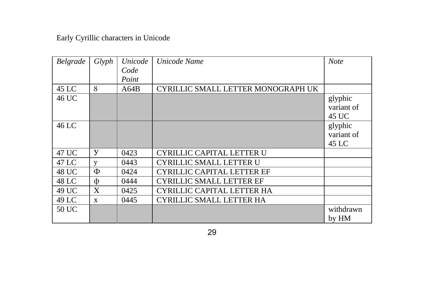| Belgrade | Glyph        | Unicode | Unicode Name                       | <b>Note</b>                    |
|----------|--------------|---------|------------------------------------|--------------------------------|
|          |              | Code    |                                    |                                |
|          |              | Point   |                                    |                                |
| 45 LC    | 8            | A64B    | CYRILLIC SMALL LETTER MONOGRAPH UK |                                |
| 46 UC    |              |         |                                    | glyphic<br>variant of<br>45 UC |
| 46 LC    |              |         |                                    | glyphic<br>variant of<br>45 LC |
| 47 UC    | У            | 0423    | CYRILLIC CAPITAL LETTER U          |                                |
| 47 LC    | y            | 0443    | CYRILLIC SMALL LETTER U            |                                |
| 48 UC    | Φ            | 0424    | <b>CYRILLIC CAPITAL LETTER EF</b>  |                                |
| 48 LC    | ф            | 0444    | <b>CYRILLIC SMALL LETTER EF</b>    |                                |
| 49 UC    | X            | 0425    | CYRILLIC CAPITAL LETTER HA         |                                |
| 49 LC    | $\mathbf{x}$ | 0445    | <b>CYRILLIC SMALL LETTER HA</b>    |                                |
| 50 UC    |              |         |                                    | withdrawn<br>by HM             |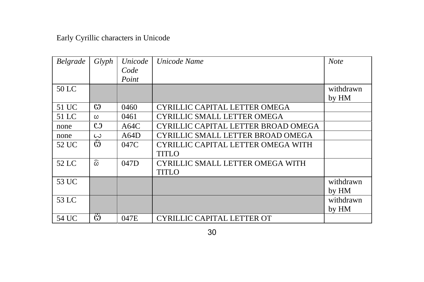| Belgrade | Glyph              | Unicode | Unicode Name                        | <b>Note</b> |
|----------|--------------------|---------|-------------------------------------|-------------|
|          |                    | Code    |                                     |             |
|          |                    | Point   |                                     |             |
| 50 LC    |                    |         |                                     | withdrawn   |
|          |                    |         |                                     | by HM       |
| 51 UC    | C <sub>1</sub>     | 0460    | CYRILLIC CAPITAL LETTER OMEGA       |             |
| 51 LC    | ω                  | 0461    | <b>CYRILLIC SMALL LETTER OMEGA</b>  |             |
| none     | C                  | A64C    | CYRILLIC CAPITAL LETTER BROAD OMEGA |             |
| none     | $\omega$           | A64D    | CYRILLIC SMALL LETTER BROAD OMEGA   |             |
| 52 UC    | C <sub>1</sub>     | 047C    | CYRILLIC CAPITAL LETTER OMEGA WITH  |             |
|          |                    |         | <b>TITLO</b>                        |             |
| 52 LC    | $\widehat{\omega}$ | 047D    | CYRILLIC SMALL LETTER OMEGA WITH    |             |
|          |                    |         | <b>TITLO</b>                        |             |
| 53 UC    |                    |         |                                     | withdrawn   |
|          |                    |         |                                     | by HM       |
| 53 LC    |                    |         |                                     | withdrawn   |
|          |                    |         |                                     | by HM       |
| 54 UC    | Ö                  | 047E    | CYRILLIC CAPITAL LETTER OT          |             |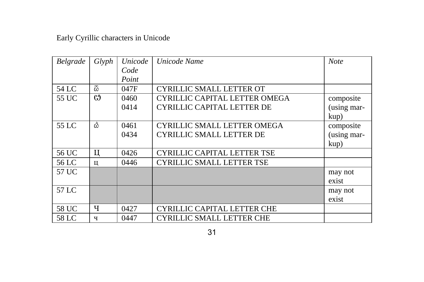| Belgrade | Glyph | Unicode | Unicode Name                       | <b>Note</b> |
|----------|-------|---------|------------------------------------|-------------|
|          |       | Code    |                                    |             |
|          |       | Point   |                                    |             |
| 54 LC    | යි    | 047F    | <b>CYRILLIC SMALL LETTER OT</b>    |             |
| 55 UC    | G9    | 0460    | CYRILLIC CAPITAL LETTER OMEGA      | composite   |
|          |       | 0414    | <b>CYRILLIC CAPITAL LETTER DE</b>  | (using mar- |
|          |       |         |                                    | kup)        |
| 55 LC    | â     | 0461    | <b>CYRILLIC SMALL LETTER OMEGA</b> | composite   |
|          |       | 0434    | <b>CYRILLIC SMALL LETTER DE</b>    | (using mar- |
|          |       |         |                                    | kup)        |
| 56 UC    | П     | 0426    | <b>CYRILLIC CAPITAL LETTER TSE</b> |             |
| 56 LC    | ц     | 0446    | <b>CYRILLIC SMALL LETTER TSE</b>   |             |
| 57 UC    |       |         |                                    | may not     |
|          |       |         |                                    | exist       |
| 57 LC    |       |         |                                    | may not     |
|          |       |         |                                    | exist       |
| 58 UC    | ч     | 0427    | CYRILLIC CAPITAL LETTER CHE        |             |
| 58 LC    | ч     | 0447    | <b>CYRILLIC SMALL LETTER CHE</b>   |             |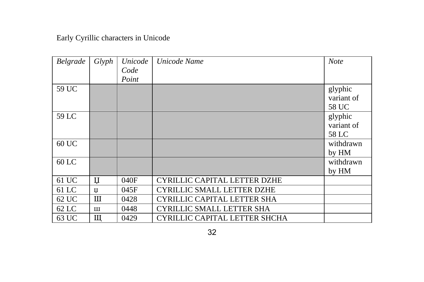| Belgrade | Glyph | Unicode | Unicode Name                        | <b>Note</b> |
|----------|-------|---------|-------------------------------------|-------------|
|          |       | Code    |                                     |             |
|          |       | Point   |                                     |             |
| 59 UC    |       |         |                                     | glyphic     |
|          |       |         |                                     | variant of  |
|          |       |         |                                     | 58 UC       |
| 59 LC    |       |         |                                     | glyphic     |
|          |       |         |                                     | variant of  |
|          |       |         |                                     | 58 LC       |
| 60 UC    |       |         |                                     | withdrawn   |
|          |       |         |                                     | by HM       |
| $60$ LC  |       |         |                                     | withdrawn   |
|          |       |         |                                     | by HM       |
| 61 UC    | Џ     | 040F    | <b>CYRILLIC CAPITAL LETTER DZHE</b> |             |
| $61$ LC  | П     | 045F    | <b>CYRILLIC SMALL LETTER DZHE</b>   |             |
| 62 UC    | Ш     | 0428    | CYRILLIC CAPITAL LETTER SHA         |             |
| $62$ LC  | Ш     | 0448    | <b>CYRILLIC SMALL LETTER SHA</b>    |             |
| 63 UC    | Щ     | 0429    | CYRILLIC CAPITAL LETTER SHCHA       |             |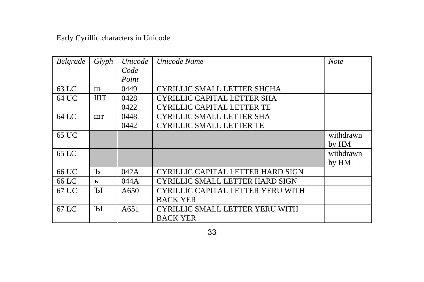| Belgrade | Glyph       | Unicode | Unicode Name                           | <b>Note</b> |
|----------|-------------|---------|----------------------------------------|-------------|
|          |             | Code    |                                        |             |
|          |             | Point   |                                        |             |
| 63 LC    | Щ           | 0449    | CYRILLIC SMALL LETTER SHCHA            |             |
| 64 UC    | <b>IIIT</b> | 0428    | <b>CYRILLIC CAPITAL LETTER SHA</b>     |             |
|          |             | 0422    | <b>CYRILLIC CAPITAL LETTER TE</b>      |             |
| 64 LC    | <b>IIIT</b> | 0448    | <b>CYRILLIC SMALL LETTER SHA</b>       |             |
|          |             | 0442    | <b>CYRILLIC SMALL LETTER TE</b>        |             |
| 65 UC    |             |         |                                        | withdrawn   |
|          |             |         |                                        | by HM       |
| $65$ LC  |             |         |                                        | withdrawn   |
|          |             |         |                                        | by HM       |
| 66 UC    | Ъ           | 042A    | CYRILLIC CAPITAL LETTER HARD SIGN      |             |
| 66 LC    | Ъ           | 044 A   | <b>CYRILLIC SMALL LETTER HARD SIGN</b> |             |
| 67 UC    | Ы           | A650    | CYRILLIC CAPITAL LETTER YERU WITH      |             |
|          |             |         | <b>BACK YER</b>                        |             |
| 67 LC    | Ы           | A651    | <b>CYRILLIC SMALL LETTER YERU WITH</b> |             |
|          |             |         | <b>BACK YER</b>                        |             |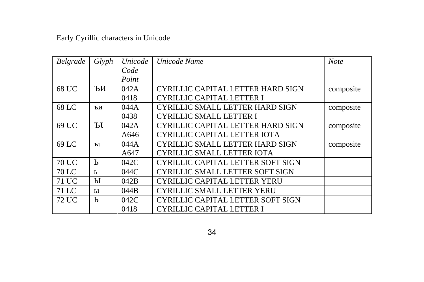| Belgrade     | Glyph         | Unicode | Unicode Name                           | <b>Note</b> |
|--------------|---------------|---------|----------------------------------------|-------------|
|              |               | Code    |                                        |             |
|              |               | Point   |                                        |             |
| 68 UC        | ЪИ            | 042A    | CYRILLIC CAPITAL LETTER HARD SIGN      | composite   |
|              |               | 0418    | <b>CYRILLIC CAPITAL LETTER I</b>       |             |
| 68 LC        | ЪИ            | 044A    | <b>CYRILLIC SMALL LETTER HARD SIGN</b> | composite   |
|              |               | 0438    | <b>CYRILLIC SMALL LETTER I</b>         |             |
| 69 UC        | ЪI.           | 042A    | CYRILLIC CAPITAL LETTER HARD SIGN      | composite   |
|              |               | A646    | CYRILLIC CAPITAL LETTER IOTA           |             |
| 69 LC        | $T_{\rm{b1}}$ | 044A    | <b>CYRILLIC SMALL LETTER HARD SIGN</b> | composite   |
|              |               | A647    | <b>CYRILLIC SMALL LETTER IOTA</b>      |             |
| <b>70 UC</b> | Ь             | 042C    | CYRILLIC CAPITAL LETTER SOFT SIGN      |             |
| 70 LC        | Ь             | 044C    | <b>CYRILLIC SMALL LETTER SOFT SIGN</b> |             |
| 71 UC        | Ы             | 042B    | <b>CYRILLIC CAPITAL LETTER YERU</b>    |             |
| 71 LC        | ы             | 044B    | <b>CYRILLIC SMALL LETTER YERU</b>      |             |
| 72 UC        | Ь             | 042C    | CYRILLIC CAPITAL LETTER SOFT SIGN      |             |
|              |               | 0418    | <b>CYRILLIC CAPITAL LETTER I</b>       |             |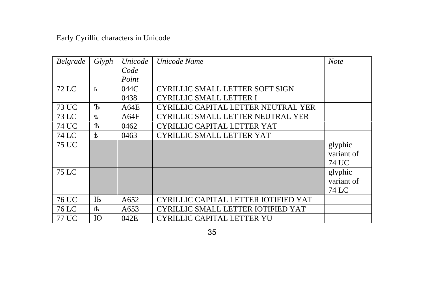| Belgrade | Glyph | Unicode | Unicode Name                             | <b>Note</b> |
|----------|-------|---------|------------------------------------------|-------------|
|          |       | Code    |                                          |             |
|          |       | Point   |                                          |             |
| 72 LC    | Ь     | 044C    | <b>CYRILLIC SMALL LETTER SOFT SIGN</b>   |             |
|          |       | 0438    | <b>CYRILLIC SMALL LETTER I</b>           |             |
| 73 UC    | Ъ     | A64E    | CYRILLIC CAPITAL LETTER NEUTRAL YER      |             |
| 73 LC    | Ъ     | AG4F    | <b>CYRILLIC SMALL LETTER NEUTRAL YER</b> |             |
| 74 UC    | 卞     | 0462    | <b>CYRILLIC CAPITAL LETTER YAT</b>       |             |
| 74 LC    | ቴ     | 0463    | <b>CYRILLIC SMALL LETTER YAT</b>         |             |
| 75 UC    |       |         |                                          | glyphic     |
|          |       |         |                                          | variant of  |
|          |       |         |                                          | 74 UC       |
| 75 LC    |       |         |                                          | glyphic     |
|          |       |         |                                          | variant of  |
|          |       |         |                                          | 74 LC       |
| 76 UC    | ĦБ    | A652    | CYRILLIC CAPITAL LETTER IOTIFIED YAT     |             |
| 76 LC    | 市     | A653    | CYRILLIC SMALL LETTER IOTIFIED YAT       |             |
| 77 UC    | Ю     | 042E    | <b>CYRILLIC CAPITAL LETTER YU</b>        |             |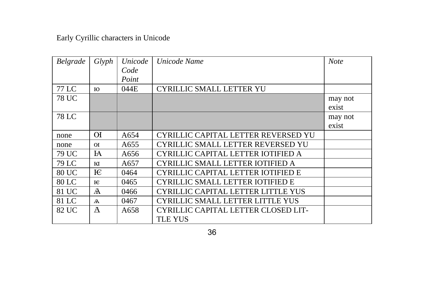| Belgrade | Glyph          | Unicode | Unicode Name                                          | <b>Note</b>      |
|----------|----------------|---------|-------------------------------------------------------|------------------|
|          |                | Code    |                                                       |                  |
|          |                | Point   |                                                       |                  |
| 77 LC    | ю              | 044E    | <b>CYRILLIC SMALL LETTER YU</b>                       |                  |
| 78 UC    |                |         |                                                       | may not<br>exist |
| 78 LC    |                |         |                                                       | may not<br>exist |
| none     | ЮI             | A654    | CYRILLIC CAPITAL LETTER REVERSED YU                   |                  |
| none     | O(             | A655    | <b>CYRILLIC SMALL LETTER REVERSED YU</b>              |                  |
| 79 UC    | FA             | A656    | CYRILLIC CAPITAL LETTER IOTIFIED A                    |                  |
| 79 LC    | ю              | A657    | CYRILLIC SMALL LETTER IOTIFIED A                      |                  |
| 80 UC    | E              | 0464    | <b>CYRILLIC CAPITAL LETTER IOTIFIED E</b>             |                  |
| 80 LC    | E              | 0465    | <b>CYRILLIC SMALL LETTER IOTIFIED E</b>               |                  |
| 81 UC    | A              | 0466    | CYRILLIC CAPITAL LETTER LITTLE YUS                    |                  |
| 81 LC    | $\overline{A}$ | 0467    | <b>CYRILLIC SMALL LETTER LITTLE YUS</b>               |                  |
| 82 UC    | Ā              | A658    | CYRILLIC CAPITAL LETTER CLOSED LIT-<br><b>TLE YUS</b> |                  |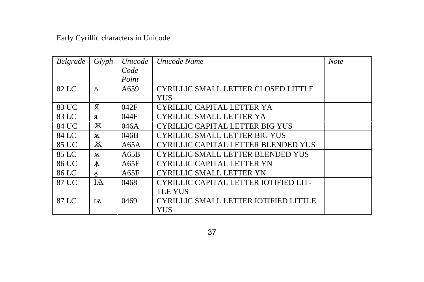| Belgrade | Glyph          | Unicode | Unicode Name                                 | <b>Note</b> |
|----------|----------------|---------|----------------------------------------------|-------------|
|          |                | Code    |                                              |             |
|          |                | Point   |                                              |             |
| 82 LC    | $\overline{A}$ | A659    | CYRILLIC SMALL LETTER CLOSED LITTLE          |             |
|          |                |         | <b>YUS</b>                                   |             |
| 83 UC    | Я              | 042F    | <b>CYRILLIC CAPITAL LETTER YA</b>            |             |
| 83 LC    | Я              | 044F    | <b>CYRILLIC SMALL LETTER YA</b>              |             |
| 84 UC    | Ж              | 046A    | <b>CYRILLIC CAPITAL LETTER BIG YUS</b>       |             |
| 84 LC    | ж              | 046B    | <b>CYRILLIC SMALL LETTER BIG YUS</b>         |             |
| 85 UC    | Ж              | A65A    | CYRILLIC CAPITAL LETTER BLENDED YUS          |             |
| 85 LC    | ж              | A65B    | <b>CYRILLIC SMALL LETTER BLENDED YUS</b>     |             |
| 86 UC    | $\Lambda$      | A65E    | <b>CYRILLIC CAPITAL LETTER YN</b>            |             |
| 86 LC    | 4              | A65F    | <b>CYRILLIC SMALL LETTER YN</b>              |             |
| 87 UC    | $H\!A$         | 0468    | CYRILLIC CAPITAL LETTER IOTIFIED LIT-        |             |
|          |                |         | <b>TLE YUS</b>                               |             |
| 87 LC    | FA             | 0469    | <b>CYRILLIC SMALL LETTER IOTIFIED LITTLE</b> |             |
|          |                |         | YUS                                          |             |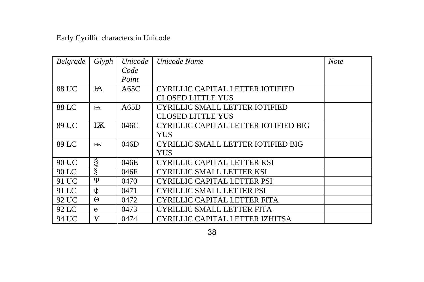| <b>Belgrade</b> | Glyph          | Unicode | Unicode Name                          | <b>Note</b> |
|-----------------|----------------|---------|---------------------------------------|-------------|
|                 |                | Code    |                                       |             |
|                 |                | Point   |                                       |             |
| 88 UC           | H              | A65C    | CYRILLIC CAPITAL LETTER IOTIFIED      |             |
|                 |                |         | <b>CLOSED LITTLE YUS</b>              |             |
| 88 LC           | H <sub>A</sub> | A65D    | <b>CYRILLIC SMALL LETTER IOTIFIED</b> |             |
|                 |                |         | <b>CLOSED LITTLE YUS</b>              |             |
| 89 UC           |                | 046C    | CYRILLIC CAPITAL LETTER IOTIFIED BIG  |             |
|                 |                |         | <b>YUS</b>                            |             |
| 89 LC           |                | 046D    | CYRILLIC SMALL LETTER IOTIFIED BIG    |             |
|                 |                |         | <b>YUS</b>                            |             |
| 90 UC           | Ř              | 046E    | CYRILLIC CAPITAL LETTER KSI           |             |
| 90 LC           | ž              | 046F    | <b>CYRILLIC SMALL LETTER KSI</b>      |             |
| 91 UC           | Ψ              | 0470    | <b>CYRILLIC CAPITAL LETTER PSI</b>    |             |
| 91 LC           | ψ              | 0471    | <b>CYRILLIC SMALL LETTER PSI</b>      |             |
| 92 UC           | $\Theta$       | 0472    | CYRILLIC CAPITAL LETTER FITA          |             |
| 92 LC           | $\Theta$       | 0473    | CYRILLIC SMALL LETTER FITA            |             |
| 94 UC           | $\bf{V}$       | 0474    | CYRILLIC CAPITAL LETTER IZHITSA       |             |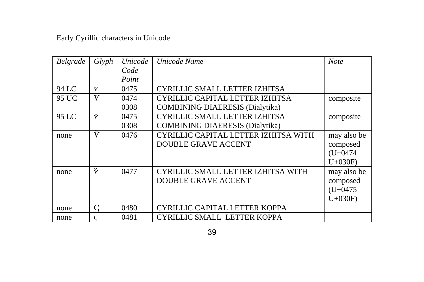| Belgrade | Glyph        | Unicode | Unicode Name                           | <b>Note</b> |
|----------|--------------|---------|----------------------------------------|-------------|
|          |              | Code    |                                        |             |
|          |              | Point   |                                        |             |
| 94 LC    | $\mathbf v$  | 0475    | CYRILLIC SMALL LETTER IZHITSA          |             |
| 95 UC    | V            | 0474    | CYRILLIC CAPITAL LETTER IZHITSA        | composite   |
|          |              | 0308    | <b>COMBINING DIAERESIS (Dialytika)</b> |             |
| 95 LC    | ÿ            | 0475    | CYRILLIC SMALL LETTER IZHITSA          | composite   |
|          |              | 0308    | <b>COMBINING DIAERESIS (Dialytika)</b> |             |
| none     | Ϋ́           | 0476    | CYRILLIC CAPITAL LETTER IZHITSA WITH   | may also be |
|          |              |         | <b>DOUBLE GRAVE ACCENT</b>             | composed    |
|          |              |         |                                        | $(U+0474)$  |
|          |              |         |                                        | $U+030F$    |
| none     | Ÿ            | 0477    | CYRILLIC SMALL LETTER IZHITSA WITH     | may also be |
|          |              |         | <b>DOUBLE GRAVE ACCENT</b>             | composed    |
|          |              |         |                                        | $(U+0475)$  |
|          |              |         |                                        | $U+030F$    |
| none     | C            | 0480    | CYRILLIC CAPITAL LETTER KOPPA          |             |
| none     | $\mathsf{C}$ | 0481    | <b>CYRILLIC SMALL LETTER KOPPA</b>     |             |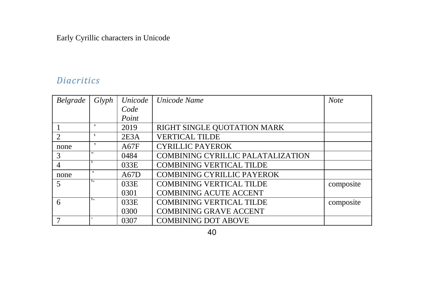### **Diacritics**

| Belgrade                 | Glyph                    | Unicode | Unicode Name                             | <b>Note</b> |
|--------------------------|--------------------------|---------|------------------------------------------|-------------|
|                          |                          | Code    |                                          |             |
|                          |                          | Point   |                                          |             |
|                          | $\overline{ }$           | 2019    | RIGHT SINGLE QUOTATION MARK              |             |
| $\mathfrak{D}$           | к                        | 2E3A    | <b>VERTICAL TILDE</b>                    |             |
| none                     | $\mathbf{z}$             | A67F    | <b>CYRILLIC PAYEROK</b>                  |             |
| 3                        | $\overline{\phantom{0}}$ | 0484    | <b>COMBINING CYRILLIC PALATALIZATION</b> |             |
| 4                        |                          | 033E    | <b>COMBINING VERTICAL TILDE</b>          |             |
| none                     | $\mathbf{z}$             | A67D    | <b>COMBINING CYRILLIC PAYEROK</b>        |             |
| $\overline{\mathcal{L}}$ | $\mathbf{r}$             | 033E    | <b>COMBINING VERTICAL TILDE</b>          | composite   |
|                          |                          | 0301    | <b>COMBINING ACUTE ACCENT</b>            |             |
| 6                        | $\mathbf{S}$             | 033E    | <b>COMBINING VERTICAL TILDE</b>          | composite   |
|                          |                          | 0300    | <b>COMBINING GRAVE ACCENT</b>            |             |
|                          |                          | 0307    | <b>COMBINING DOT ABOVE</b>               |             |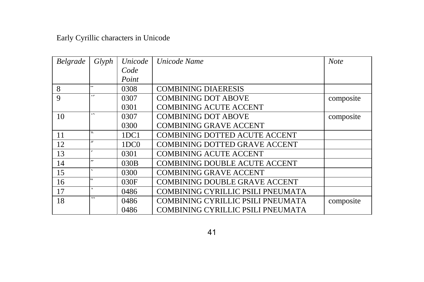| Belgrade | Glyph                    | Unicode          | Unicode Name                             | <b>Note</b> |
|----------|--------------------------|------------------|------------------------------------------|-------------|
|          |                          | Code             |                                          |             |
|          |                          | Point            |                                          |             |
| 8        |                          | 0308             | <b>COMBINING DIAERESIS</b>               |             |
| 9        | $\cdot$                  | 0307             | <b>COMBINING DOT ABOVE</b>               | composite   |
|          |                          | 0301             | <b>COMBINING ACUTE ACCENT</b>            |             |
| 10       | $\cdot$                  | 0307             | <b>COMBINING DOT ABOVE</b>               | composite   |
|          |                          | 0300             | <b>COMBINING GRAVE ACCENT</b>            |             |
| 11       | ٧.                       | 1DC1             | <b>COMBINING DOTTED ACUTE ACCENT</b>     |             |
| 12       | $\mathcal{N}$            | 1DC <sub>0</sub> | <b>COMBINING DOTTED GRAVE ACCENT</b>     |             |
| 13       |                          | 0301             | <b>COMBINING ACUTE ACCENT</b>            |             |
| 14       | $\mathbf{r}$             | 030B             | <b>COMBINING DOUBLE ACUTE ACCENT</b>     |             |
| 15       |                          | 0300             | <b>COMBINING GRAVE ACCENT</b>            |             |
| 16       | $\overline{\phantom{a}}$ | 030F             | <b>COMBINING DOUBLE GRAVE ACCENT</b>     |             |
| 17       | ٠                        | 0486             | <b>COMBINING CYRILLIC PSILI PNEUMATA</b> |             |
| 18       | $, \cdot$                | 0486             | COMBINING CYRILLIC PSILI PNEUMATA        | composite   |
|          |                          | 0486             | <b>COMBINING CYRILLIC PSILI PNEUMATA</b> |             |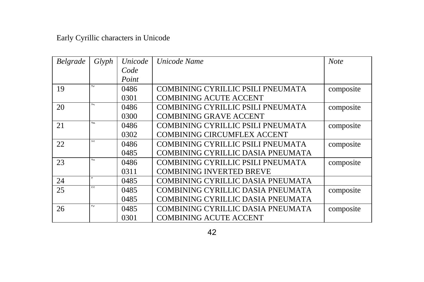| Belgrade | Glyph                    | Unicode | Unicode Name                       | <b>Note</b> |
|----------|--------------------------|---------|------------------------------------|-------------|
|          |                          | Code    |                                    |             |
|          |                          | Point   |                                    |             |
| 19       | $, \cdot$                | 0486    | COMBINING CYRILLIC PSILI PNEUMATA  | composite   |
|          |                          | 0301    | <b>COMBINING ACUTE ACCENT</b>      |             |
| 20       | ,                        | 0486    | COMBINING CYRILLIC PSILI PNEUMATA  | composite   |
|          |                          | 0300    | <b>COMBINING GRAVE ACCENT</b>      |             |
| 21       | $\lambda$                | 0486    | COMBINING CYRILLIC PSILI PNEUMATA  | composite   |
|          |                          | 0302    | <b>COMBINING CIRCUMFLEX ACCENT</b> |             |
| 22       | , .                      | 0486    | COMBINING CYRILLIC PSILI PNEUMATA  | composite   |
|          |                          | 0485    | COMBINING CYRILLIC DASIA PNEUMATA  |             |
| 23       | $\overline{\phantom{a}}$ | 0486    | COMBINING CYRILLIC PSILI PNEUMATA  | composite   |
|          |                          | 0311    | <b>COMBINING INVERTED BREVE</b>    |             |
| 24       | ٠                        | 0485    | COMBINING CYRILLIC DASIA PNEUMATA  |             |
| 25       | $\epsilon$               | 0485    | COMBINING CYRILLIC DASIA PNEUMATA  | composite   |
|          |                          | 0485    | COMBINING CYRILLIC DASIA PNEUMATA  |             |
| 26       | $\ddot{\phantom{0}}$     | 0485    | COMBINING CYRILLIC DASIA PNEUMATA  | composite   |
|          |                          | 0301    | <b>COMBINING ACUTE ACCENT</b>      |             |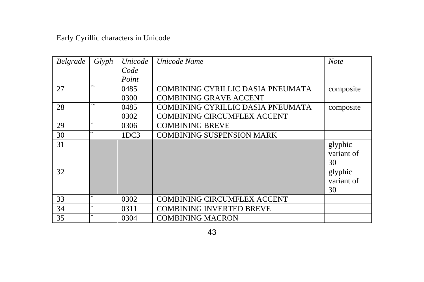| Belgrade | Glyph                | Unicode | Unicode Name                       | <b>Note</b> |
|----------|----------------------|---------|------------------------------------|-------------|
|          |                      | Code    |                                    |             |
|          |                      | Point   |                                    |             |
| 27       | $\ddot{\phantom{a}}$ | 0485    | COMBINING CYRILLIC DASIA PNEUMATA  | composite   |
|          |                      | 0300    | <b>COMBINING GRAVE ACCENT</b>      |             |
| 28       | $\sim$               | 0485    | COMBINING CYRILLIC DASIA PNEUMATA  | composite   |
|          |                      | 0302    | <b>COMBINING CIRCUMFLEX ACCENT</b> |             |
| 29       | $\check{ }$          | 0306    | <b>COMBINING BREVE</b>             |             |
| 30       | $\check{ }$          | 1DC3    | <b>COMBINING SUSPENSION MARK</b>   |             |
| 31       |                      |         |                                    | glyphic     |
|          |                      |         |                                    | variant of  |
|          |                      |         |                                    | 30          |
| 32       |                      |         |                                    | glyphic     |
|          |                      |         |                                    | variant of  |
|          |                      |         |                                    | 30          |
| 33       | $\sim$               | 0302    | <b>COMBINING CIRCUMFLEX ACCENT</b> |             |
| 34       | $\sim$               | 0311    | COMBINING INVERTED BREVE           |             |
| 35       |                      | 0304    | <b>COMBINING MACRON</b>            |             |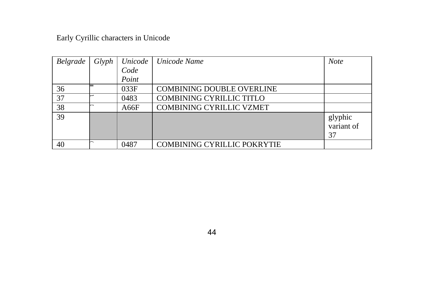| Belgrade | Glyph | Unicode | Unicode Name                       | <b>Note</b>                 |
|----------|-------|---------|------------------------------------|-----------------------------|
|          |       | Code    |                                    |                             |
|          |       | Point   |                                    |                             |
| 36       |       | 033F    | <b>COMBINING DOUBLE OVERLINE</b>   |                             |
| 37       |       | 0483    | <b>COMBINING CYRILLIC TITLO</b>    |                             |
| 38       |       | A66F    | <b>COMBINING CYRILLIC VZMET</b>    |                             |
| 39       |       |         |                                    | glyphic<br>variant of<br>37 |
| 40       |       | 0487    | <b>COMBINING CYRILLIC POKRYTIE</b> |                             |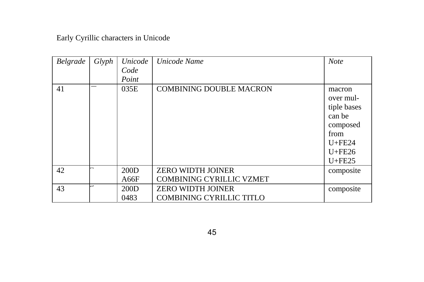| Belgrade | Glyph | Unicode | Unicode Name                    | <b>Note</b> |
|----------|-------|---------|---------------------------------|-------------|
|          |       | Code    |                                 |             |
|          |       | Point   |                                 |             |
| 41       |       | 035E    | <b>COMBINING DOUBLE MACRON</b>  | macron      |
|          |       |         |                                 | over mul-   |
|          |       |         |                                 | tiple bases |
|          |       |         |                                 | can be      |
|          |       |         |                                 | composed    |
|          |       |         |                                 | from        |
|          |       |         |                                 | $U + FE24$  |
|          |       |         |                                 | $U + FE26$  |
|          |       |         |                                 | $U + FE25$  |
| 42       | -     | 200D    | <b>ZERO WIDTH JOINER</b>        | composite   |
|          |       | A66F    | <b>COMBINING CYRILLIC VZMET</b> |             |
| 43       | ÷     | 200D    | <b>ZERO WIDTH JOINER</b>        | composite   |
|          |       | 0483    | <b>COMBINING CYRILLIC TITLO</b> |             |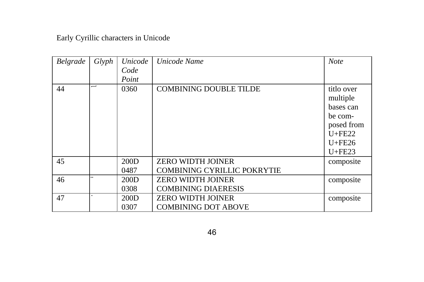| Belgrade | Glyph | Unicode | Unicode Name                       | <b>Note</b> |
|----------|-------|---------|------------------------------------|-------------|
|          |       | Code    |                                    |             |
|          |       | Point   |                                    |             |
| 44       | —     | 0360    | <b>COMBINING DOUBLE TILDE</b>      | titlo over  |
|          |       |         |                                    | multiple    |
|          |       |         |                                    | bases can   |
|          |       |         |                                    | be com-     |
|          |       |         |                                    | posed from  |
|          |       |         |                                    | $U + FE22$  |
|          |       |         |                                    | $U + FE26$  |
|          |       |         |                                    | $U + FE23$  |
| 45       |       | 200D    | <b>ZERO WIDTH JOINER</b>           | composite   |
|          |       | 0487    | <b>COMBINING CYRILLIC POKRYTIE</b> |             |
| 46       |       | 200D    | <b>ZERO WIDTH JOINER</b>           | composite   |
|          |       | 0308    | <b>COMBINING DIAERESIS</b>         |             |
| 47       |       | 200D    | <b>ZERO WIDTH JOINER</b>           | composite   |
|          |       | 0307    | <b>COMBINING DOT ABOVE</b>         |             |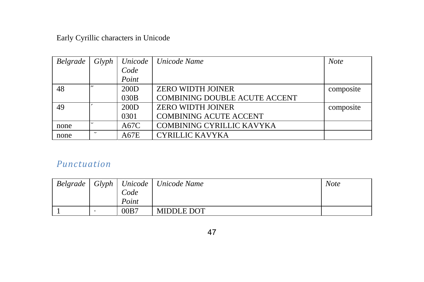| Belgrade | Glyph       | Unicode | Unicode Name                         | <b>Note</b> |
|----------|-------------|---------|--------------------------------------|-------------|
|          |             | Code    |                                      |             |
|          |             | Point   |                                      |             |
| 48       | $^{\prime}$ | 200D    | ZERO WIDTH JOINER                    | composite   |
|          |             | 030B    | <b>COMBINING DOUBLE ACUTE ACCENT</b> |             |
| 49       |             | 200D    | <b>ZERO WIDTH JOINER</b>             | composite   |
|          |             | 0301    | <b>COMBINING ACUTE ACCENT</b>        |             |
| none     |             | A67C    | <b>COMBINING CYRILLIC KAVYKA</b>     |             |
| none     |             | A67E    | <b>CYRILLIC KAVYKA</b>               |             |

### Punctuation

| Belgrade |       | Glyph   Unicode   Unicode Name | <b>Note</b> |
|----------|-------|--------------------------------|-------------|
|          | Code  |                                |             |
|          | Point |                                |             |
|          | 00B7  | <b>MIDDLE DOT</b>              |             |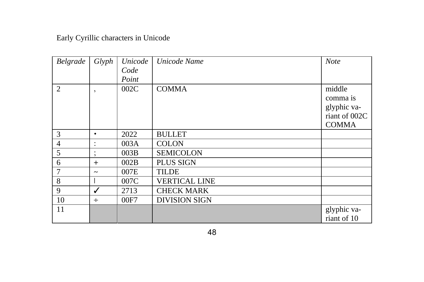| Belgrade       | Glyph                 | Unicode | Unicode Name         | <b>Note</b>   |
|----------------|-----------------------|---------|----------------------|---------------|
|                |                       | Code    |                      |               |
|                |                       | Point   |                      |               |
| $\mathfrak{D}$ | ٠,                    | 002C    | <b>COMMA</b>         | middle        |
|                |                       |         |                      | comma is      |
|                |                       |         |                      | glyphic va-   |
|                |                       |         |                      | riant of 002C |
|                |                       |         |                      | <b>COMMA</b>  |
| 3              | ٠                     | 2022    | <b>BULLET</b>        |               |
| 4              |                       | 003A    | <b>COLON</b>         |               |
| 5              |                       | 003B    | <b>SEMICOLON</b>     |               |
| 6              | $\ddot{}$             | 002B    | PLUS SIGN            |               |
| 7              | $\tilde{\phantom{a}}$ | 007E    | <b>TILDE</b>         |               |
| 8              |                       | 007C    | <b>VERTICAL LINE</b> |               |
| 9              | ✓                     | 2713    | <b>CHECK MARK</b>    |               |
| 10             | $\div$                | 00F7    | <b>DIVISION SIGN</b> |               |
| 11             |                       |         |                      | glyphic va-   |
|                |                       |         |                      | riant of 10   |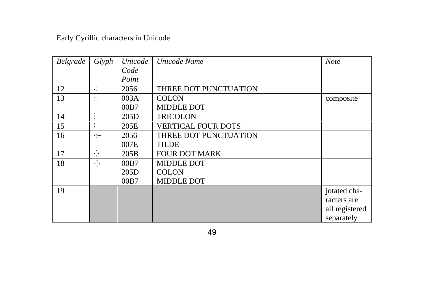| Belgrade | Glyph                | Unicode | Unicode Name              | <b>Note</b>    |
|----------|----------------------|---------|---------------------------|----------------|
|          |                      | Code    |                           |                |
|          |                      | Point   |                           |                |
| 12       | ÷                    | 2056    | THREE DOT PUNCTUATION     |                |
| 13       | $\ddot{\phantom{0}}$ | 003A    | <b>COLON</b>              | composite      |
|          |                      | 00B7    | <b>MIDDLE DOT</b>         |                |
| 14       | $\bullet$            | 205D    | <b>TRICOLON</b>           |                |
| 15       |                      | 205E    | <b>VERTICAL FOUR DOTS</b> |                |
| 16       | ∴∼                   | 2056    | THREE DOT PUNCTUATION     |                |
|          |                      | 007E    | <b>TILDE</b>              |                |
| 17       | $\ddot{\phantom{0}}$ | 205B    | <b>FOUR DOT MARK</b>      |                |
| 18       | $\cdots$             | 00B7    | <b>MIDDLE DOT</b>         |                |
|          |                      | 205D    | <b>COLON</b>              |                |
|          |                      | 00B7    | <b>MIDDLE DOT</b>         |                |
| 19       |                      |         |                           | jotated cha-   |
|          |                      |         |                           | racters are    |
|          |                      |         |                           | all registered |
|          |                      |         |                           | separately     |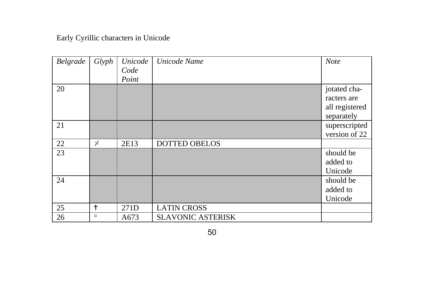| Belgrade | Glyph      | Unicode | Unicode Name             | <b>Note</b>    |
|----------|------------|---------|--------------------------|----------------|
|          |            | Code    |                          |                |
|          |            | Point   |                          |                |
| 20       |            |         |                          | jotated cha-   |
|          |            |         |                          | racters are    |
|          |            |         |                          | all registered |
|          |            |         |                          | separately     |
| 21       |            |         |                          | superscripted  |
|          |            |         |                          | version of 22  |
| 22       | ۰⁄۰        | 2E13    | <b>DOTTED OBELOS</b>     |                |
| 23       |            |         |                          | should be      |
|          |            |         |                          | added to       |
|          |            |         |                          | Unicode        |
| 24       |            |         |                          | should be      |
|          |            |         |                          | added to       |
|          |            |         |                          | Unicode        |
| 25       | $\ddagger$ | 271D    | <b>LATIN CROSS</b>       |                |
| 26       | 森          | A673    | <b>SLAVONIC ASTERISK</b> |                |